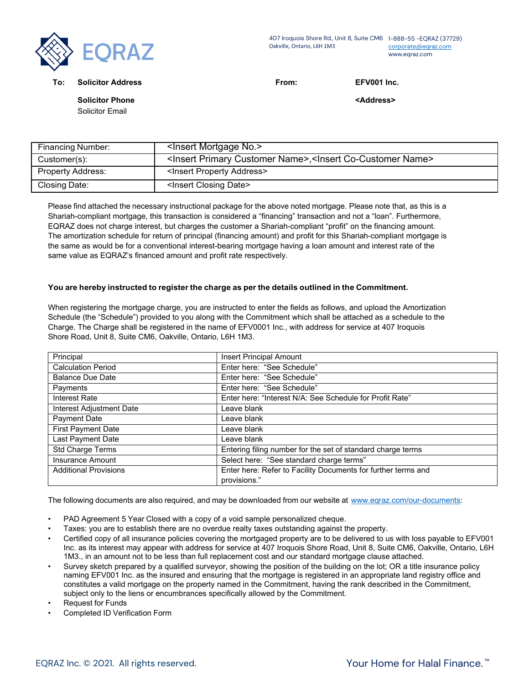

407 Iroquois Shore Rd., Unit 8, Suite CM6 1-888-55 -EQRAZ (37729) Oakville, Ontario, L6H 1M3 [corporate@eqraz.com](mailto:corporate@eqraz.com) www.eqraz.com

**To: Solicitor Address From: EFV001 Inc.**

**Solicitor Phone**

Solicitor Email

**<Address>**

| <b>Financing Number:</b> | <lnsert mortgage="" no.=""></lnsert>                                                      |
|--------------------------|-------------------------------------------------------------------------------------------|
| Customer(s):             | <insert customer="" name="" primary="">,<insert co-customer="" name=""></insert></insert> |
| <b>Property Address:</b> | <insert address="" property=""></insert>                                                  |
| Closing Date:            | <insert closing="" date=""></insert>                                                      |

Please find attached the necessary instructional package for the above noted mortgage. Please note that, as this is a Shariah-compliant mortgage, this transaction is considered a "financing" transaction and not a "loan". Furthermore, EQRAZ does not charge interest, but charges the customer a Shariah-compliant "profit" on the financing amount. The amortization schedule for return of principal (financing amount) and profit for this Shariah-compliant mortgage is the same as would be for a conventional interest-bearing mortgage having a loan amount and interest rate of the same value as EQRAZ's financed amount and profit rate respectively.

## **You are hereby instructed to register the charge as per the details outlined in the Commitment.**

When registering the mortgage charge, you are instructed to enter the fields as follows, and upload the Amortization Schedule (the "Schedule") provided to you along with the Commitment which shall be attached as a schedule to the Charge. The Charge shall be registered in the name of EFV0001 Inc., with address for service at 407 Iroquois Shore Road, Unit 8, Suite CM6, Oakville, Ontario, L6H 1M3.

| Principal                    | <b>Insert Principal Amount</b>                                |
|------------------------------|---------------------------------------------------------------|
| <b>Calculation Period</b>    | Enter here: "See Schedule"                                    |
| <b>Balance Due Date</b>      | Enter here: "See Schedule"                                    |
| Payments                     | Enter here: "See Schedule"                                    |
| Interest Rate                | Enter here: "Interest N/A: See Schedule for Profit Rate"      |
| Interest Adjustment Date     | Leave blank                                                   |
| <b>Payment Date</b>          | Leave blank                                                   |
| <b>First Payment Date</b>    | Leave blank                                                   |
| Last Payment Date            | Leave blank                                                   |
| Std Charge Terms             | Entering filing number for the set of standard charge terms   |
| <b>Insurance Amount</b>      | Select here: "See standard charge terms"                      |
| <b>Additional Provisions</b> | Enter here: Refer to Facility Documents for further terms and |
|                              | provisions."                                                  |

The following documents are also required, and may be downloaded from our website at [www.eqraz.com/our-documents:](http://www.eqraz.com/our-documents)

- PAD Agreement 5 Year Closed with a copy of a void sample personalized cheque.
- Taxes: you are to establish there are no overdue realty taxes outstanding against the property.
- Certified copy of all insurance policies covering the mortgaged property are to be delivered to us with loss payable to EFV001 Inc. as its interest may appear with address for service at 407 Iroquois Shore Road, Unit 8, Suite CM6, Oakville, Ontario, L6H 1M3., in an amount not to be less than full replacement cost and our standard mortgage clause attached.
- Survey sketch prepared by a qualified surveyor, showing the position of the building on the lot; OR a title insurance policy naming EFV001 Inc. as the insured and ensuring that the mortgage is registered in an appropriate land registry office and constitutes a valid mortgage on the property named in the Commitment, having the rank described in the Commitment, subject only to the liens or encumbrances specifically allowed by the Commitment.
- Request for Funds
- Completed ID Verification Form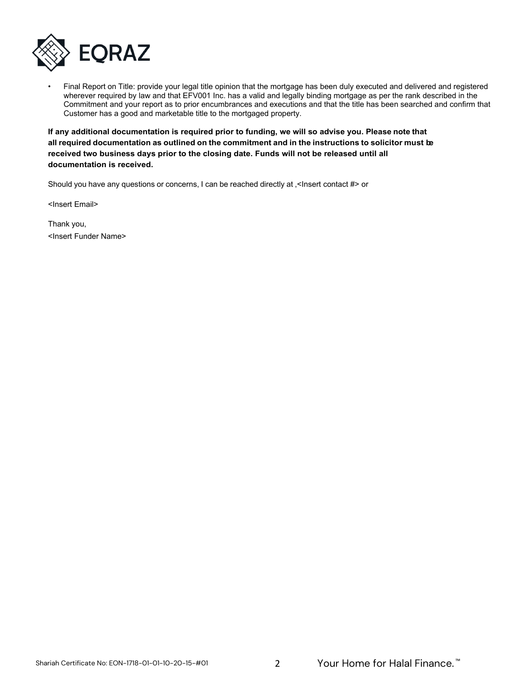

• Final Report on Title: provide your legal title opinion that the mortgage has been duly executed and delivered and registered wherever required by law and that EFV001 Inc. has a valid and legally binding mortgage as per the rank described in the Commitment and your report as to prior encumbrances and executions and that the title has been searched and confirm that Customer has a good and marketable title to the mortgaged property.

**If any additional documentation is required prior to funding, we will so advise you. Please note that all required documentation as outlined on the commitment and in the instructions to solicitor must be received two business days prior to the closing date. Funds will not be released until all documentation is received.** 

Should you have any questions or concerns, I can be reached directly at ,<Insert contact #> or

[<Insert](mailto:amita.nayyar@cmls.ca) Email>

Thank you, <Insert Funder Name>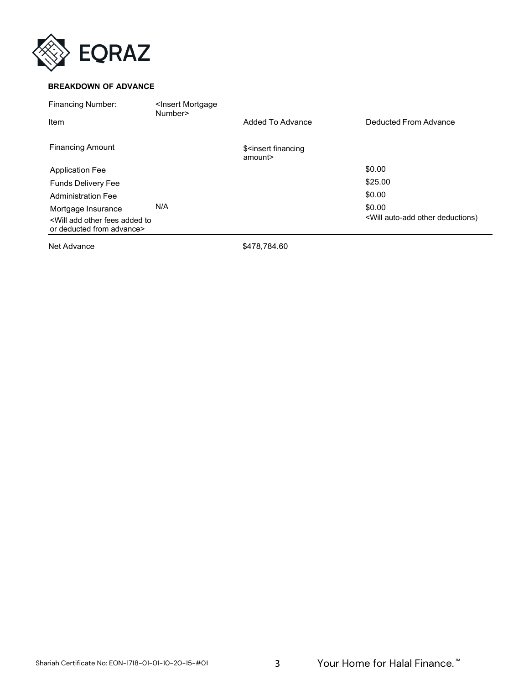

## **BREAKDOWN OF ADVANCE**

| <b>Financing Number:</b>                                                                                  | <lnsert mortgage<br="">Number&gt;</lnsert> |                                                |                                                                    |
|-----------------------------------------------------------------------------------------------------------|--------------------------------------------|------------------------------------------------|--------------------------------------------------------------------|
| Item                                                                                                      |                                            | Added To Advance                               | Deducted From Advance                                              |
| <b>Financing Amount</b>                                                                                   |                                            | \$ <insert financing<br="">amount&gt;</insert> |                                                                    |
| <b>Application Fee</b>                                                                                    |                                            |                                                | \$0.00                                                             |
| <b>Funds Delivery Fee</b>                                                                                 |                                            |                                                | \$25.00                                                            |
| <b>Administration Fee</b>                                                                                 |                                            |                                                | \$0.00                                                             |
| Mortgage Insurance<br><will add="" added="" fees="" other="" to<br="">or deducted from advance&gt;</will> | N/A                                        |                                                | \$0.00<br><will auto-add="" deductions)<="" other="" td=""></will> |

Net Advance \$478,784.60